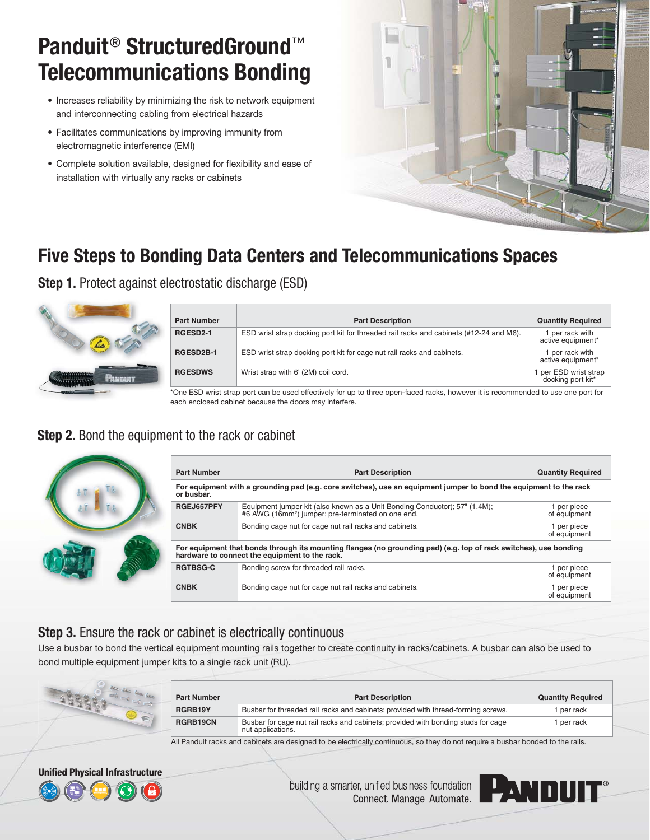# **Panduit**® **StructuredGround**™ **Telecommunications Bonding**

- Increases reliability by minimizing the risk to network equipment and interconnecting cabling from electrical hazards
- Facilitates communications by improving immunity from electromagnetic interference (EMI)
- Complete solution available, designed for flexibility and ease of installation with virtually any racks or cabinets



# **Five Steps to Bonding Data Centers and Telecommunications Spaces**

**Step 1.** Protect against electrostatic discharge (ESD)



| <b>Part Number</b> | <b>Part Description</b>                                                                | <b>Quantity Required</b>                   |
|--------------------|----------------------------------------------------------------------------------------|--------------------------------------------|
| RGESD2-1           | ESD wrist strap docking port kit for threaded rail racks and cabinets (#12-24 and M6). | 1 per rack with<br>active equipment*       |
| RGESD2B-1          | ESD wrist strap docking port kit for cage nut rail racks and cabinets.                 | 1 per rack with<br>active equipment*       |
| <b>RGESDWS</b>     | Wrist strap with 6' (2M) coil cord.                                                    | 1 per ESD wrist strap<br>docking port kit* |

\*One ESD wrist strap port can be used effectively for up to three open-faced racks, however it is recommended to use one port for each enclosed cabinet because the doors may interfere.

#### **Step 2.** Bond the equipment to the rack or cabinet



| <b>Part Number</b>                                                                                                                                                  | <b>Part Description</b>                                                                                                                   | <b>Quantity Required</b>    |
|---------------------------------------------------------------------------------------------------------------------------------------------------------------------|-------------------------------------------------------------------------------------------------------------------------------------------|-----------------------------|
| For equipment with a grounding pad (e.g. core switches), use an equipment jumper to bond the equipment to the rack<br>or busbar.                                    |                                                                                                                                           |                             |
| RGEJ657PFY                                                                                                                                                          | Equipment jumper kit (also known as a Unit Bonding Conductor); 57" (1.4M); #6 AWG (16mm <sup>2</sup> ) jumper; pre-terminated on one end. | 1 per piece<br>of equipment |
| <b>CNBK</b>                                                                                                                                                         | Bonding cage nut for cage nut rail racks and cabinets.                                                                                    | 1 per piece<br>of equipment |
| For equipment that bonds through its mounting flanges (no grounding pad) (e.g. top of rack switches), use bonding<br>hardware to connect the equipment to the rack. |                                                                                                                                           |                             |
| <b>RGTBSG-C</b>                                                                                                                                                     | Bonding screw for threaded rail racks.                                                                                                    | 1 per piece<br>of equipment |
| <b>CNBK</b>                                                                                                                                                         | Bonding cage nut for cage nut rail racks and cabinets.                                                                                    | 1 per piece<br>of equipment |

### **Step 3.** Ensure the rack or cabinet is electrically continuous

Use a busbar to bond the vertical equipment mounting rails together to create continuity in racks/cabinets. A busbar can also be used to bond multiple equipment jumper kits to a single rack unit (RU).

| <b>Part Number</b> | <b>Part Description</b>                                                                                | <b>Quantity Required</b> |
|--------------------|--------------------------------------------------------------------------------------------------------|--------------------------|
| RGRB19Y            | Busbar for threaded rail racks and cabinets; provided with thread-forming screws.                      | per rack                 |
| RGRB19CN           | Busbar for cage nut rail racks and cabinets; provided with bonding studs for cage<br>nut applications. | per rack                 |

All Panduit racks and cabinets are designed to be electrically continuous, so they do not require a busbar bonded to the rails.



building a smarter, unified business foundation<br>Connect. Manage. Automate.